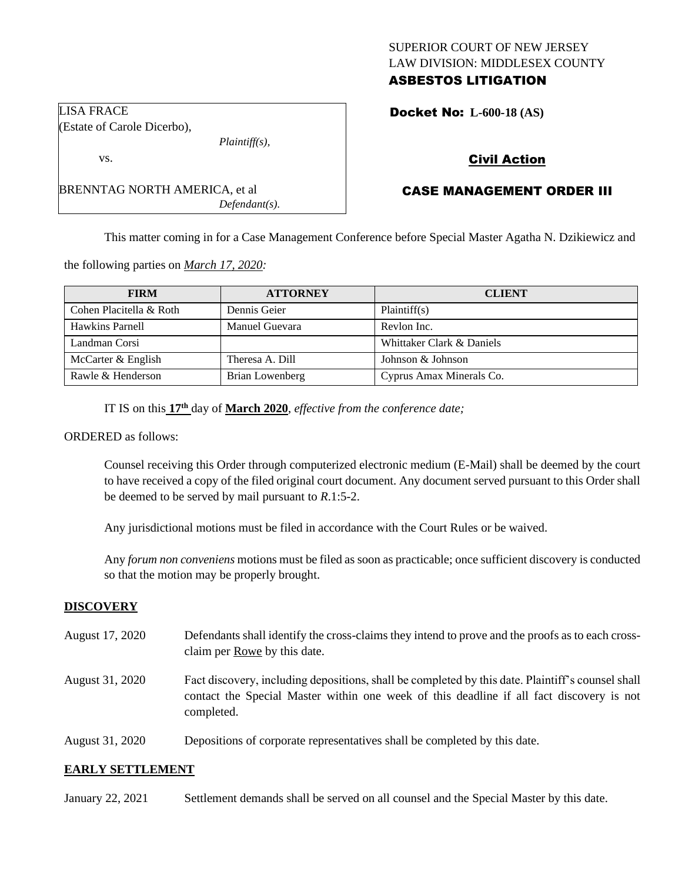# SUPERIOR COURT OF NEW JERSEY LAW DIVISION: MIDDLESEX COUNTY ASBESTOS LITIGATION

Docket No: **L-600-18 (AS)** 

# Civil Action

# CASE MANAGEMENT ORDER III

This matter coming in for a Case Management Conference before Special Master Agatha N. Dzikiewicz and

the following parties on *March 17, 2020:*

BRENNTAG NORTH AMERICA, et al

| <b>FIRM</b>             | <b>ATTORNEY</b>        | <b>CLIENT</b>             |
|-------------------------|------------------------|---------------------------|
| Cohen Placitella & Roth | Dennis Geier           | Plaintiff(s)              |
| Hawkins Parnell         | Manuel Guevara         | Revlon Inc.               |
| Landman Corsi           |                        | Whittaker Clark & Daniels |
| McCarter & English      | Theresa A. Dill        | Johnson & Johnson         |
| Rawle & Henderson       | <b>Brian Lowenberg</b> | Cyprus Amax Minerals Co.  |

IT IS on this **17th** day of **March 2020**, *effective from the conference date;*

*Plaintiff(s),*

*Defendant(s).*

ORDERED as follows:

Counsel receiving this Order through computerized electronic medium (E-Mail) shall be deemed by the court to have received a copy of the filed original court document. Any document served pursuant to this Order shall be deemed to be served by mail pursuant to *R*.1:5-2.

Any jurisdictional motions must be filed in accordance with the Court Rules or be waived.

Any *forum non conveniens* motions must be filed as soon as practicable; once sufficient discovery is conducted so that the motion may be properly brought.

## **DISCOVERY**

- August 17, 2020 Defendants shall identify the cross-claims they intend to prove and the proofs as to each crossclaim per Rowe by this date.
- August 31, 2020 Fact discovery, including depositions, shall be completed by this date. Plaintiff's counsel shall contact the Special Master within one week of this deadline if all fact discovery is not completed.
- August 31, 2020 Depositions of corporate representatives shall be completed by this date.

## **EARLY SETTLEMENT**

January 22, 2021 Settlement demands shall be served on all counsel and the Special Master by this date.

LISA FRACE (Estate of Carole Dicerbo),

vs.